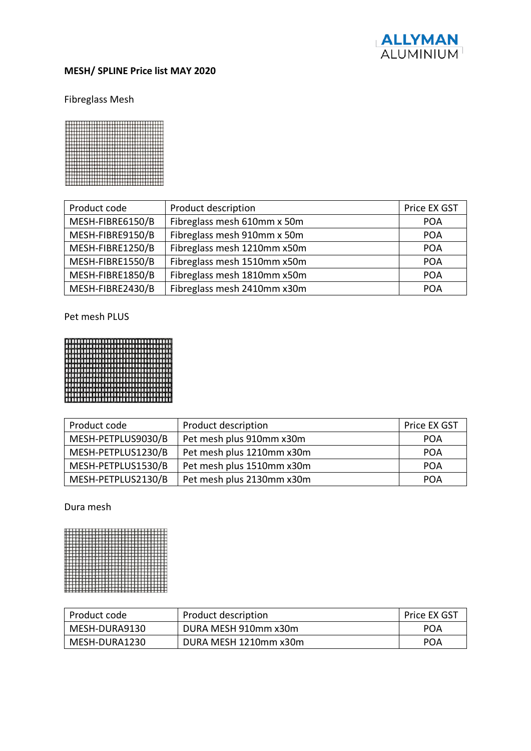

# **MESH/ SPLINE Price list MAY 2020**

# Fibreglass Mesh



| Product code     | Product description         | Price EX GST |
|------------------|-----------------------------|--------------|
| MESH-FIBRE6150/B | Fibreglass mesh 610mm x 50m | <b>POA</b>   |
| MESH-FIBRE9150/B | Fibreglass mesh 910mm x 50m | <b>POA</b>   |
| MESH-FIBRE1250/B | Fibreglass mesh 1210mm x50m | <b>POA</b>   |
| MESH-FIBRE1550/B | Fibreglass mesh 1510mm x50m | <b>POA</b>   |
| MESH-FIBRE1850/B | Fibreglass mesh 1810mm x50m | <b>POA</b>   |
| MESH-FIBRE2430/B | Fibreglass mesh 2410mm x30m | <b>POA</b>   |

Pet mesh PLUS



| Product code       | Product description       | Price EX GST |
|--------------------|---------------------------|--------------|
| MESH-PETPLUS9030/B | Pet mesh plus 910mm x30m  | <b>POA</b>   |
| MESH-PETPLUS1230/B | Pet mesh plus 1210mm x30m | <b>POA</b>   |
| MESH-PETPLUS1530/B | Pet mesh plus 1510mm x30m | <b>POA</b>   |
| MESH-PETPLUS2130/B | Pet mesh plus 2130mm x30m | <b>POA</b>   |

Dura mesh



| Product code  | Product description   | Price EX GST |
|---------------|-----------------------|--------------|
| MESH-DURA9130 | DURA MESH 910mm x30m  | POA          |
| MESH-DURA1230 | DURA MESH 1210mm x30m | POA          |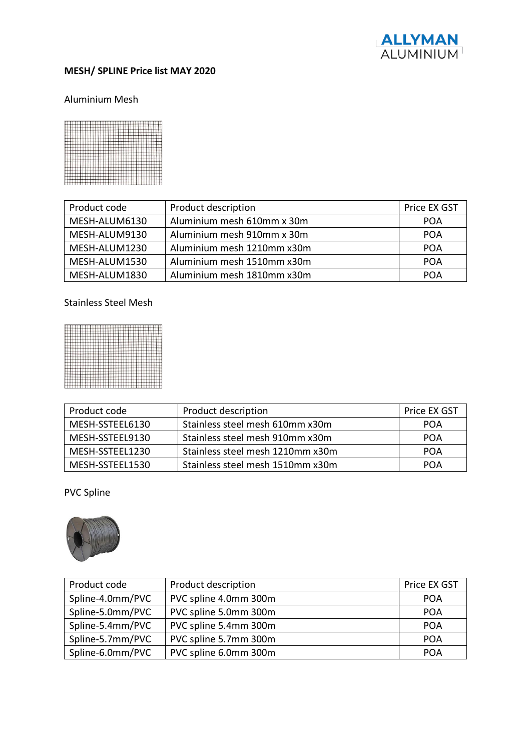

#### **MESH/ SPLINE Price list MAY 2020**

#### Aluminium Mesh



| Product code  | Product description        | Price EX GST |
|---------------|----------------------------|--------------|
| MESH-ALUM6130 | Aluminium mesh 610mm x 30m | <b>POA</b>   |
| MESH-ALUM9130 | Aluminium mesh 910mm x 30m | <b>POA</b>   |
| MESH-ALUM1230 | Aluminium mesh 1210mm x30m | POA          |
| MESH-ALUM1530 | Aluminium mesh 1510mm x30m | POA          |
| MESH-ALUM1830 | Aluminium mesh 1810mm x30m | POA          |

# Stainless Steel Mesh



| Product code    | Product description              | Price EX GST |
|-----------------|----------------------------------|--------------|
| MESH-SSTEEL6130 | Stainless steel mesh 610mm x30m  | POA          |
| MESH-SSTEEL9130 | Stainless steel mesh 910mm x30m  | POA          |
| MESH-SSTEEL1230 | Stainless steel mesh 1210mm x30m | POA          |
| MESH-SSTEEL1530 | Stainless steel mesh 1510mm x30m | POA          |

## PVC Spline



| Product code     | Product description   | Price EX GST |
|------------------|-----------------------|--------------|
| Spline-4.0mm/PVC | PVC spline 4.0mm 300m | <b>POA</b>   |
| Spline-5.0mm/PVC | PVC spline 5.0mm 300m | <b>POA</b>   |
| Spline-5.4mm/PVC | PVC spline 5.4mm 300m | <b>POA</b>   |
| Spline-5.7mm/PVC | PVC spline 5.7mm 300m | <b>POA</b>   |
| Spline-6.0mm/PVC | PVC spline 6.0mm 300m | <b>POA</b>   |